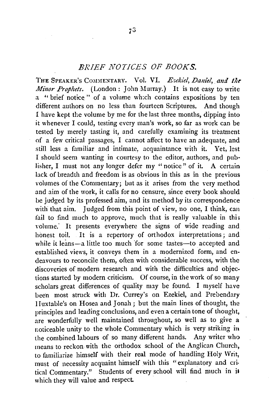## *BRIEF NOTICES OF BOOKS.*

THE SPEAKER'S COMMENTARY. Vol. VI. *Esekiel*, Daniel, and the *Aftitor Prophets.* (London: John Murray.) It is not easy to write a " brief notice " of a volume wh:ch contains expositions by ten different authors on no less than fourteen Scriptures. And though I have kept the volume by me for the last three months, dipping into it whenever I could, testing every man's work, so far as work can be tested by merely tasting it, and carefully examining its treatment of a few critical passages, I cannot affect to have an adequate, and still less a familiar and intimate, acquaintance with it. Yet, lest I should seem wanting in courtesy to the editor, authors, and publisher, I must not any longer defer my "notice" of it. A certain lack of breadth and freedom is as obvious in this as in the previous volumes of the Commentary; but as it arises from the very method and aim of the work, it calls for no censure, since every book should be judged by its professed aim, and its method by its correspondence with that aim. Judged from this point of view, no one, I think, can fail to find much to approve, much that is really valuable in this volume. It presents everywhere the signs of wide reading and honest toil. It is a repertory of orthodox interpretations; and while it leans-a little too much for some tastes-to accepted and established views, it conveys them in a modernized form, and endeavours to reconcile them, often with considerable success, with the discoveries of modern research and with the difficulties and objections started by modern criticism. Of course, in the work of so many scholars great differences of quality may be found. I myself have been most struck with Dr. Currey's on Ezekiel, and Prebendary I I uxtable's on Hosea and Jonah; but the main lines of thought, the principles and leading conclusions, and even a certain tone of thought, are wonderfully well maintained throughout, so well as to give a Eoticeable unity to the whole Commentary which is very striking in the combined labours of so many different hands. Any writer who means to reckon with the orthodox school of the Anglican Church, to familiarize himself with their real mode of handling Holy Writ, must of necessity acquaint himself with this "explanatory and critical Commentary." Students of every school will find much in il which they will value and respect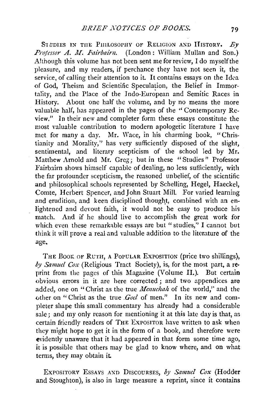S1 **JDIES IN THE PHILOSOPHY OF RELIGION AND HISTORY.** *By* Professor A. M. Fairbairn. (London: William Mullan and Son.) Although this volume has not been sent me for review, I do myself the pleasure, and my readers, if perchance they have not seen it, the service, of calling their attention to it. It contains essays on the Idea of God, Theism and Scientific Speculation, the Belief in Immortality, and the Place of the Indo-European and Semitic Races in History. About one half the volume, and by no means the more valuable half, has appeared in the pages of the " Contemporary Review." In their new and completer form these essays constitute the most valuable contribution to modern apologetic literature  $I$  have met for many a day. Mr. Wace, in his charming book, "Christianity and Morality,'' has very sufficiently disposed of the slight, sentimental, and literary scepticism of the school led by Mr. Matthew Arnold and Mr. Greg; but in these "Studies" Professor Fairbairn shows himself capable of dealing, no less sufficiently, with the far profounder scepticism, the reasoned unbelief, of the scientific and philosophical schools represented by Schelling, Hegel, Haeckel, Comte, Herbert Spencer, and John Stuart Mill. For varied learning and erudition, and keen disciplined thought, combined with an enlightened and devout faith, it would not be easy to produce his match. And if he should live to accomplish the great work for which even these remarkable essays are but "studies," I cannot but think it will prove a real and Yaluable addition to the literature of the **age ...** 

THE BOOK OF RUTH, A POPULAR EXPOSITION (price two shillings), *by Samuel Cox* (Religious Tract Society), is, for the most part, a re· print from the pages of this Magazine (Volume II.). But certain obvious errors in it are here corrected ; and two appendices are added, one on "Christ as the true *Menuchah* of the world," and the vther on "Christ as the true *.God* of men." In its new and completer shape this small commentary has already had a considerable sale; and my only reason for mentioning it at this late day is that, as certain friendly readers of THE ExPOSITOR have written to ask when they might hope to get it in the form of a book, and therefore were evidently unaware that it had appeared in that form some time ago, it is possible that others may be glad to know where, and on what terms, they may obtain it

ExPOSITORY EssAYS AND DiscouRSEs, *by Samuel Cox* (Hodder and Stoughton), is also in large measure a reprint, since it contains